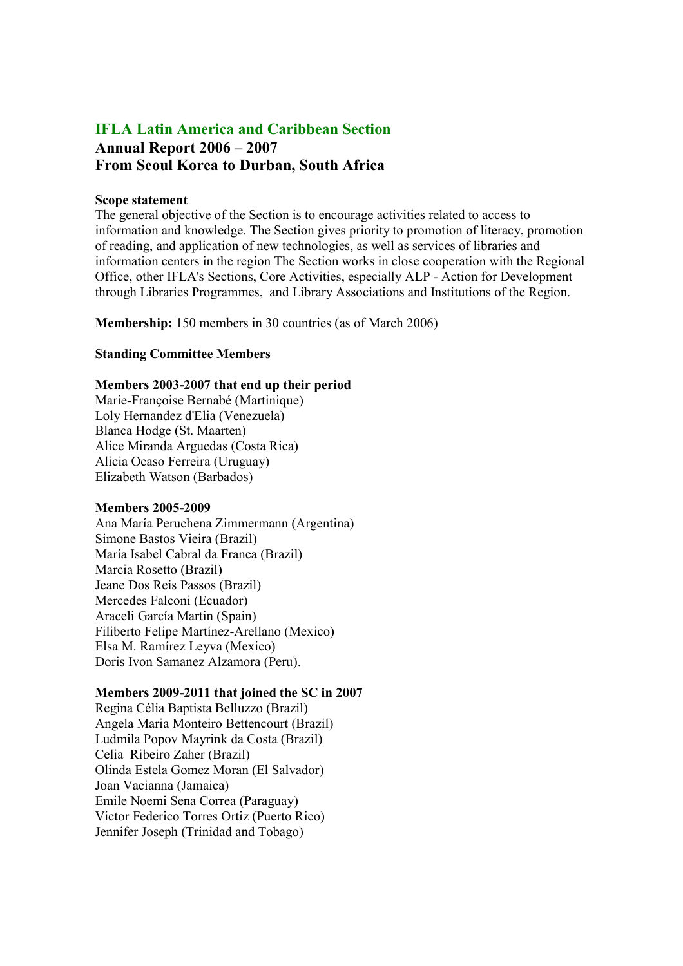# IFLA Latin America and Caribbean Section Annual Report 2006 – 2007 From Seoul Korea to Durban, South Africa

#### Scope statement

The general objective of the Section is to encourage activities related to access to information and knowledge. The Section gives priority to promotion of literacy, promotion of reading, and application of new technologies, as well as services of libraries and information centers in the region The Section works in close cooperation with the Regional Office, other IFLA's Sections, Core Activities, especially ALP - Action for Development through Libraries Programmes, and Library Associations and Institutions of the Region.

Membership: 150 members in 30 countries (as of March 2006)

#### Standing Committee Members

# Members 2003-2007 that end up their period

Marie-Françoise Bernabé (Martinique) Loly Hernandez d'Elia (Venezuela) Blanca Hodge (St. Maarten) Alice Miranda Arguedas (Costa Rica) Alicia Ocaso Ferreira (Uruguay) Elizabeth Watson (Barbados)

#### Members 2005-2009

Ana María Peruchena Zimmermann (Argentina) Simone Bastos Vieira (Brazil) María Isabel Cabral da Franca (Brazil) Marcia Rosetto (Brazil) Jeane Dos Reis Passos (Brazil) Mercedes Falconi (Ecuador) Araceli García Martin (Spain) Filiberto Felipe Martínez-Arellano (Mexico) Elsa M. Ramírez Leyva (Mexico) Doris Ivon Samanez Alzamora (Peru).

# Members 2009-2011 that joined the SC in 2007

Regina Célia Baptista Belluzzo (Brazil) Angela Maria Monteiro Bettencourt (Brazil) Ludmila Popov Mayrink da Costa (Brazil) Celia Ribeiro Zaher (Brazil) Olinda Estela Gomez Moran (El Salvador) Joan Vacianna (Jamaica) Emile Noemi Sena Correa (Paraguay) Victor Federico Torres Ortiz (Puerto Rico) Jennifer Joseph (Trinidad and Tobago)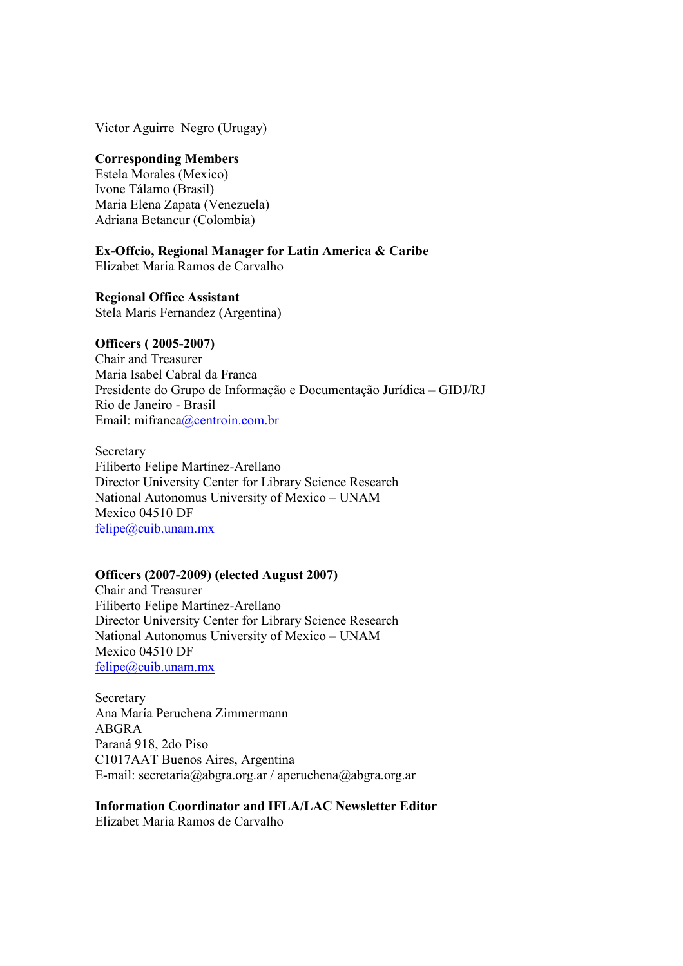Victor Aguirre Negro (Urugay)

## Corresponding Members

Estela Morales (Mexico) Ivone Tálamo (Brasil) Maria Elena Zapata (Venezuela) Adriana Betancur (Colombia)

Ex-Offcio, Regional Manager for Latin America & Caribe

Elizabet Maria Ramos de Carvalho

Regional Office Assistant Stela Maris Fernandez (Argentina)

# Officers ( 2005-2007)

Chair and Treasurer Maria Isabel Cabral da Franca Presidente do Grupo de Informação e Documentação Jurídica – GIDJ/RJ Rio de Janeiro - Brasil Email: mifranca@centroin.com.br

**Secretary** Filiberto Felipe Martínez-Arellano Director University Center for Library Science Research National Autonomus University of Mexico – UNAM Mexico 04510 DF felipe@cuib.unam.mx

# Officers (2007-2009) (elected August 2007)

Chair and Treasurer Filiberto Felipe Martínez-Arellano Director University Center for Library Science Research National Autonomus University of Mexico – UNAM Mexico 04510 DF felipe@cuib.unam.mx

**Secretary** Ana María Peruchena Zimmermann ABGRA Paraná 918, 2do Piso C1017AAT Buenos Aires, Argentina E-mail: secretaria@abgra.org.ar / aperuchena@abgra.org.ar

Information Coordinator and IFLA/LAC Newsletter Editor

Elizabet Maria Ramos de Carvalho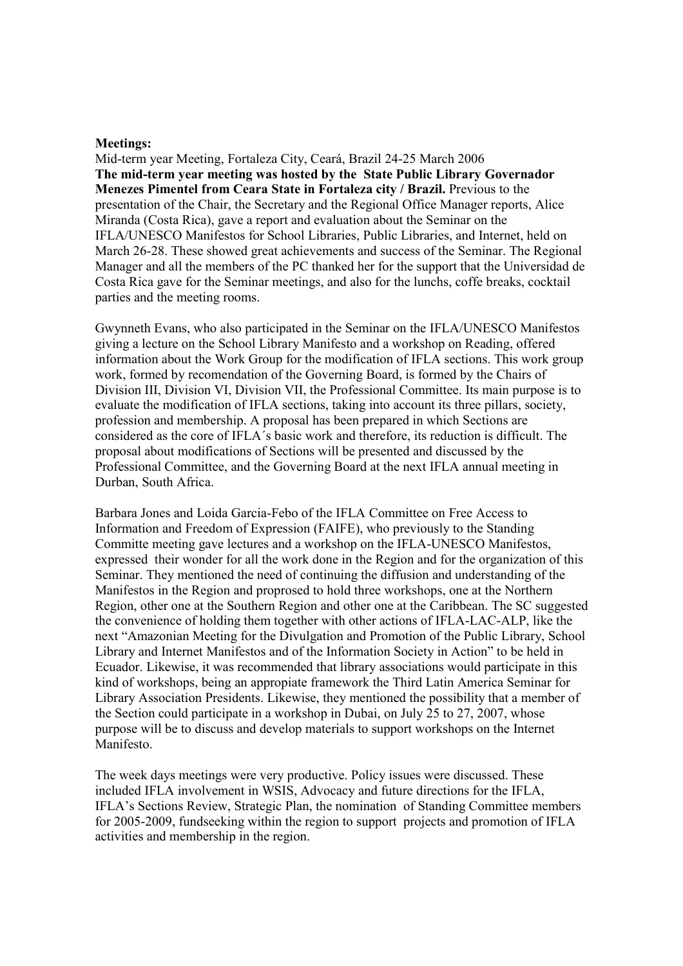#### Meetings:

Mid-term year Meeting, Fortaleza City, Ceará, Brazil 24-25 March 2006 The mid-term year meeting was hosted by the State Public Library Governador Menezes Pimentel from Ceara State in Fortaleza city / Brazil. Previous to the presentation of the Chair, the Secretary and the Regional Office Manager reports, Alice Miranda (Costa Rica), gave a report and evaluation about the Seminar on the IFLA/UNESCO Manifestos for School Libraries, Public Libraries, and Internet, held on March 26-28. These showed great achievements and success of the Seminar. The Regional Manager and all the members of the PC thanked her for the support that the Universidad de Costa Rica gave for the Seminar meetings, and also for the lunchs, coffe breaks, cocktail parties and the meeting rooms.

Gwynneth Evans, who also participated in the Seminar on the IFLA/UNESCO Manifestos giving a lecture on the School Library Manifesto and a workshop on Reading, offered information about the Work Group for the modification of IFLA sections. This work group work, formed by recomendation of the Governing Board, is formed by the Chairs of Division III, Division VI, Division VII, the Professional Committee. Its main purpose is to evaluate the modification of IFLA sections, taking into account its three pillars, society, profession and membership. A proposal has been prepared in which Sections are considered as the core of IFLA´s basic work and therefore, its reduction is difficult. The proposal about modifications of Sections will be presented and discussed by the Professional Committee, and the Governing Board at the next IFLA annual meeting in Durban, South Africa.

Barbara Jones and Loida Garcia-Febo of the IFLA Committee on Free Access to Information and Freedom of Expression (FAIFE), who previously to the Standing Committe meeting gave lectures and a workshop on the IFLA-UNESCO Manifestos, expressed their wonder for all the work done in the Region and for the organization of this Seminar. They mentioned the need of continuing the diffusion and understanding of the Manifestos in the Region and proprosed to hold three workshops, one at the Northern Region, other one at the Southern Region and other one at the Caribbean. The SC suggested the convenience of holding them together with other actions of IFLA-LAC-ALP, like the next "Amazonian Meeting for the Divulgation and Promotion of the Public Library, School Library and Internet Manifestos and of the Information Society in Action" to be held in Ecuador. Likewise, it was recommended that library associations would participate in this kind of workshops, being an appropiate framework the Third Latin America Seminar for Library Association Presidents. Likewise, they mentioned the possibility that a member of the Section could participate in a workshop in Dubai, on July 25 to 27, 2007, whose purpose will be to discuss and develop materials to support workshops on the Internet Manifesto.

The week days meetings were very productive. Policy issues were discussed. These included IFLA involvement in WSIS, Advocacy and future directions for the IFLA, IFLA's Sections Review, Strategic Plan, the nomination of Standing Committee members for 2005-2009, fundseeking within the region to support projects and promotion of IFLA activities and membership in the region.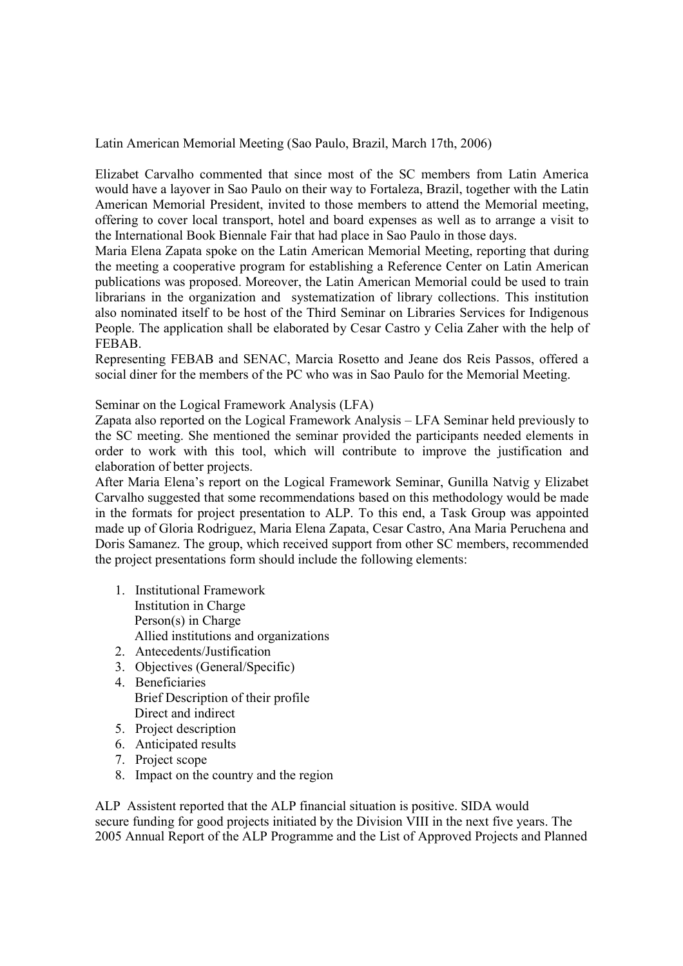Latin American Memorial Meeting (Sao Paulo, Brazil, March 17th, 2006)

Elizabet Carvalho commented that since most of the SC members from Latin America would have a layover in Sao Paulo on their way to Fortaleza, Brazil, together with the Latin American Memorial President, invited to those members to attend the Memorial meeting, offering to cover local transport, hotel and board expenses as well as to arrange a visit to the International Book Biennale Fair that had place in Sao Paulo in those days.

Maria Elena Zapata spoke on the Latin American Memorial Meeting, reporting that during the meeting a cooperative program for establishing a Reference Center on Latin American publications was proposed. Moreover, the Latin American Memorial could be used to train librarians in the organization and systematization of library collections. This institution also nominated itself to be host of the Third Seminar on Libraries Services for Indigenous People. The application shall be elaborated by Cesar Castro y Celia Zaher with the help of FEBAB.

Representing FEBAB and SENAC, Marcia Rosetto and Jeane dos Reis Passos, offered a social diner for the members of the PC who was in Sao Paulo for the Memorial Meeting.

Seminar on the Logical Framework Analysis (LFA)

Zapata also reported on the Logical Framework Analysis – LFA Seminar held previously to the SC meeting. She mentioned the seminar provided the participants needed elements in order to work with this tool, which will contribute to improve the justification and elaboration of better projects.

After Maria Elena's report on the Logical Framework Seminar, Gunilla Natvig y Elizabet Carvalho suggested that some recommendations based on this methodology would be made in the formats for project presentation to ALP. To this end, a Task Group was appointed made up of Gloria Rodriguez, Maria Elena Zapata, Cesar Castro, Ana Maria Peruchena and Doris Samanez. The group, which received support from other SC members, recommended the project presentations form should include the following elements:

- 1. Institutional Framework Institution in Charge Person(s) in Charge Allied institutions and organizations
- 2. Antecedents/Justification
- 3. Objectives (General/Specific)
- 4. Beneficiaries Brief Description of their profile Direct and indirect
- 5. Project description
- 6. Anticipated results
- 7. Project scope
- 8. Impact on the country and the region

ALP Assistent reported that the ALP financial situation is positive. SIDA would secure funding for good projects initiated by the Division VIII in the next five years. The 2005 Annual Report of the ALP Programme and the List of Approved Projects and Planned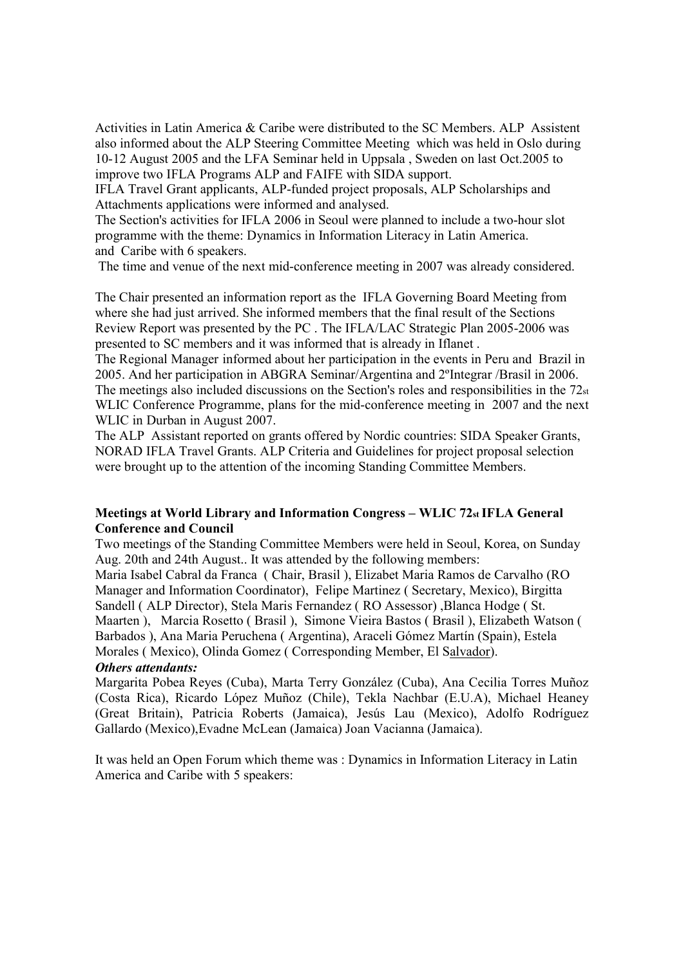Activities in Latin America & Caribe were distributed to the SC Members. ALP Assistent also informed about the ALP Steering Committee Meeting which was held in Oslo during 10-12 August 2005 and the LFA Seminar held in Uppsala , Sweden on last Oct.2005 to improve two IFLA Programs ALP and FAIFE with SIDA support.

IFLA Travel Grant applicants, ALP-funded project proposals, ALP Scholarships and Attachments applications were informed and analysed.

The Section's activities for IFLA 2006 in Seoul were planned to include a two-hour slot programme with the theme: Dynamics in Information Literacy in Latin America. and Caribe with 6 speakers.

The time and venue of the next mid-conference meeting in 2007 was already considered.

The Chair presented an information report as the IFLA Governing Board Meeting from where she had just arrived. She informed members that the final result of the Sections Review Report was presented by the PC . The IFLA/LAC Strategic Plan 2005-2006 was presented to SC members and it was informed that is already in Iflanet .

The Regional Manager informed about her participation in the events in Peru and Brazil in 2005. And her participation in ABGRA Seminar/Argentina and 2ºIntegrar /Brasil in 2006. The meetings also included discussions on the Section's roles and responsibilities in the  $72<sub>st</sub>$ WLIC Conference Programme, plans for the mid-conference meeting in 2007 and the next WLIC in Durban in August 2007.

The ALP Assistant reported on grants offered by Nordic countries: SIDA Speaker Grants, NORAD IFLA Travel Grants. ALP Criteria and Guidelines for project proposal selection were brought up to the attention of the incoming Standing Committee Members.

## Meetings at World Library and Information Congress – WLIC 72st IFLA General Conference and Council

Two meetings of the Standing Committee Members were held in Seoul, Korea, on Sunday Aug. 20th and 24th August.. It was attended by the following members:

Maria Isabel Cabral da Franca ( Chair, Brasil ), Elizabet Maria Ramos de Carvalho (RO Manager and Information Coordinator), Felipe Martinez ( Secretary, Mexico), Birgitta Sandell ( ALP Director), Stela Maris Fernandez ( RO Assessor) ,Blanca Hodge ( St. Maarten ), Marcia Rosetto ( Brasil ), Simone Vieira Bastos ( Brasil ), Elizabeth Watson ( Barbados ), Ana Maria Peruchena ( Argentina), Araceli Gómez Martín (Spain), Estela Morales ( Mexico), Olinda Gomez ( Corresponding Member, El Salvador). Others attendants:

Margarita Pobea Reyes (Cuba), Marta Terry González (Cuba), Ana Cecilia Torres Muñoz (Costa Rica), Ricardo López Muñoz (Chile), Tekla Nachbar (E.U.A), Michael Heaney (Great Britain), Patricia Roberts (Jamaica), Jesús Lau (Mexico), Adolfo Rodríguez Gallardo (Mexico),Evadne McLean (Jamaica) Joan Vacianna (Jamaica).

It was held an Open Forum which theme was : Dynamics in Information Literacy in Latin America and Caribe with 5 speakers: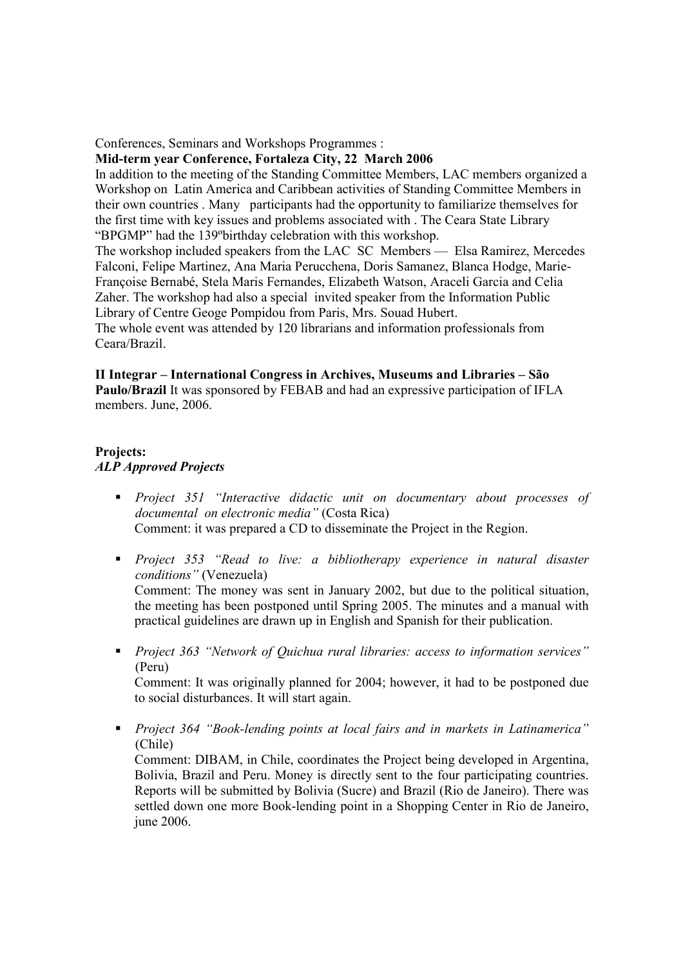#### Conferences, Seminars and Workshops Programmes :

#### Mid-term year Conference, Fortaleza City, 22 March 2006

In addition to the meeting of the Standing Committee Members, LAC members organized a Workshop on Latin America and Caribbean activities of Standing Committee Members in their own countries . Many participants had the opportunity to familiarize themselves for the first time with key issues and problems associated with . The Ceara State Library "BPGMP" had the 139ºbirthday celebration with this workshop.

The workshop included speakers from the LAC SC Members — Elsa Ramirez, Mercedes Falconi, Felipe Martinez, Ana Maria Perucchena, Doris Samanez, Blanca Hodge, Marie-Françoise Bernabé, Stela Maris Fernandes, Elizabeth Watson, Araceli Garcia and Celia Zaher. The workshop had also a special invited speaker from the Information Public Library of Centre Geoge Pompidou from Paris, Mrs. Souad Hubert.

The whole event was attended by 120 librarians and information professionals from Ceara/Brazil.

#### II Integrar – International Congress in Archives, Museums and Libraries – São Paulo/Brazil It was sponsored by FEBAB and had an expressive participation of IFLA members. June, 2006.

# Projects: ALP Approved Projects

- **•** Project 351 "Interactive didactic unit on documentary about processes of documental on electronic media" (Costa Rica) Comment: it was prepared a CD to disseminate the Project in the Region.
- **Project 353** "Read to live: a bibliotherapy experience in natural disaster conditions" (Venezuela) Comment: The money was sent in January 2002, but due to the political situation, the meeting has been postponed until Spring 2005. The minutes and a manual with practical guidelines are drawn up in English and Spanish for their publication.
- **Project 363 "Network of Quichua rural libraries: access to information services"** (Peru)

Comment: It was originally planned for 2004; however, it had to be postponed due to social disturbances. It will start again.

 Project 364 "Book-lending points at local fairs and in markets in Latinamerica" (Chile)

Comment: DIBAM, in Chile, coordinates the Project being developed in Argentina, Bolivia, Brazil and Peru. Money is directly sent to the four participating countries. Reports will be submitted by Bolivia (Sucre) and Brazil (Rio de Janeiro). There was settled down one more Book-lending point in a Shopping Center in Rio de Janeiro, june 2006.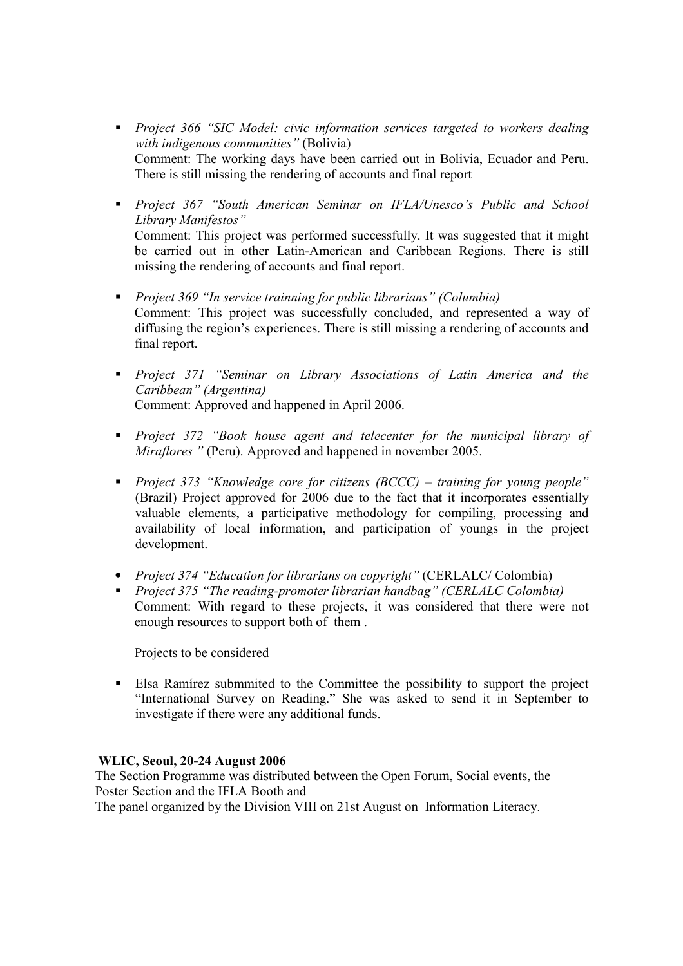- **Project 366 "SIC Model: civic information services targeted to workers dealing** with indigenous communities" (Bolivia) Comment: The working days have been carried out in Bolivia, Ecuador and Peru. There is still missing the rendering of accounts and final report
- **•** Project 367 "South American Seminar on IFLA/Unesco's Public and School Library Manifestos" Comment: This project was performed successfully. It was suggested that it might be carried out in other Latin-American and Caribbean Regions. There is still missing the rendering of accounts and final report.
- **•** Project 369 "In service trainning for public librarians" (Columbia) Comment: This project was successfully concluded, and represented a way of diffusing the region's experiences. There is still missing a rendering of accounts and final report.
- **Project 371 "Seminar on Library Associations of Latin America and the** Caribbean" (Argentina) Comment: Approved and happened in April 2006.
- **Project 372 "Book house agent and telecenter for the municipal library of** Miraflores " (Peru). Approved and happened in november 2005.
- Project 373 "Knowledge core for citizens  $(BCCC)$  training for young people" (Brazil) Project approved for 2006 due to the fact that it incorporates essentially valuable elements, a participative methodology for compiling, processing and availability of local information, and participation of youngs in the project development.
- Project 374 "Education for librarians on copyright" (CERLALC/ Colombia)
- Project 375 "The reading-promoter librarian handbag" (CERLALC Colombia) Comment: With regard to these projects, it was considered that there were not enough resources to support both of them .

Projects to be considered

 Elsa Ramírez submmited to the Committee the possibility to support the project "International Survey on Reading." She was asked to send it in September to investigate if there were any additional funds.

# WLIC, Seoul, 20-24 August 2006

The Section Programme was distributed between the Open Forum, Social events, the Poster Section and the IFLA Booth and The panel organized by the Division VIII on 21st August on Information Literacy.